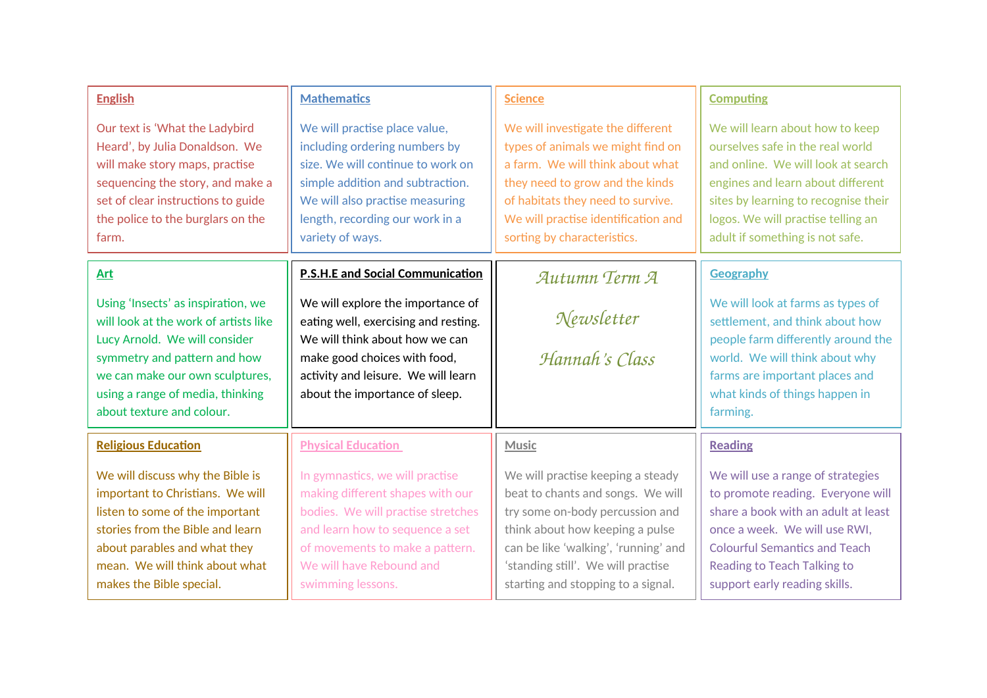| <b>English</b>                                                                                                                                                                                                                                   | <b>Mathematics</b>                                                                                                                                                                                                                | <b>Science</b>                                                                                                                                                                                                                                                   | <b>Computing</b>                                                                                                                                                                                                                                                |
|--------------------------------------------------------------------------------------------------------------------------------------------------------------------------------------------------------------------------------------------------|-----------------------------------------------------------------------------------------------------------------------------------------------------------------------------------------------------------------------------------|------------------------------------------------------------------------------------------------------------------------------------------------------------------------------------------------------------------------------------------------------------------|-----------------------------------------------------------------------------------------------------------------------------------------------------------------------------------------------------------------------------------------------------------------|
| Our text is 'What the Ladybird<br>Heard', by Julia Donaldson. We<br>will make story maps, practise<br>sequencing the story, and make a<br>set of clear instructions to guide<br>the police to the burglars on the<br>farm.                       | We will practise place value,<br>including ordering numbers by<br>size. We will continue to work on<br>simple addition and subtraction.<br>We will also practise measuring<br>length, recording our work in a<br>variety of ways. | We will investigate the different<br>types of animals we might find on<br>a farm. We will think about what<br>they need to grow and the kinds<br>of habitats they need to survive.<br>We will practise identification and<br>sorting by characteristics.         | We will learn about how to keep<br>ourselves safe in the real world<br>and online. We will look at search<br>engines and learn about different<br>sites by learning to recognise their<br>logos. We will practise telling an<br>adult if something is not safe. |
| Art                                                                                                                                                                                                                                              | <b>P.S.H.E and Social Communication</b>                                                                                                                                                                                           | Autumn Term A                                                                                                                                                                                                                                                    | <b>Geography</b>                                                                                                                                                                                                                                                |
| Using 'Insects' as inspiration, we<br>will look at the work of artists like<br>Lucy Arnold. We will consider<br>symmetry and pattern and how<br>we can make our own sculptures,<br>using a range of media, thinking<br>about texture and colour. | We will explore the importance of<br>eating well, exercising and resting.<br>We will think about how we can<br>make good choices with food,<br>activity and leisure. We will learn<br>about the importance of sleep.              | Newsletter<br>Hannah's Class                                                                                                                                                                                                                                     | We will look at farms as types of<br>settlement, and think about how<br>people farm differently around the<br>world. We will think about why<br>farms are important places and<br>what kinds of things happen in<br>farming.                                    |
| <b>Religious Education</b>                                                                                                                                                                                                                       | <b>Physical Education</b>                                                                                                                                                                                                         | <b>Music</b>                                                                                                                                                                                                                                                     | <b>Reading</b>                                                                                                                                                                                                                                                  |
| We will discuss why the Bible is<br>important to Christians. We will<br>listen to some of the important<br>stories from the Bible and learn<br>about parables and what they<br>mean. We will think about what<br>makes the Bible special.        | In gymnastics, we will practise<br>making different shapes with our<br>bodies. We will practise stretches<br>and learn how to sequence a set<br>of movements to make a pattern.<br>We will have Rebound and<br>swimming lessons.  | We will practise keeping a steady<br>beat to chants and songs. We will<br>try some on-body percussion and<br>think about how keeping a pulse<br>can be like 'walking', 'running' and<br>'standing still'. We will practise<br>starting and stopping to a signal. | We will use a range of strategies<br>to promote reading. Everyone will<br>share a book with an adult at least<br>once a week. We will use RWI,<br><b>Colourful Semantics and Teach</b><br><b>Reading to Teach Talking to</b><br>support early reading skills.   |